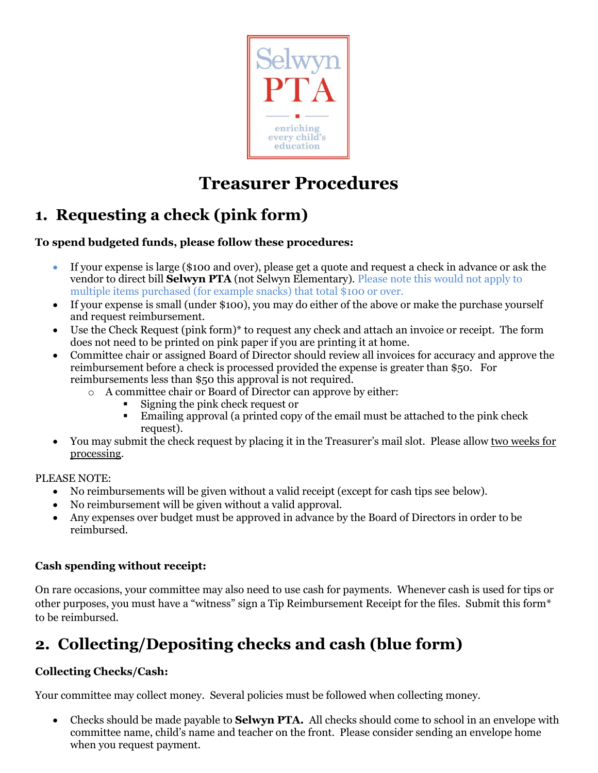

# **Treasurer Procedures**

# **1. Requesting a check (pink form)**

### **To spend budgeted funds, please follow these procedures:**

- If your expense is large (\$100 and over), please get a quote and request a check in advance or ask the vendor to direct bill **Selwyn PTA** (not Selwyn Elementary). Please note this would not apply to multiple items purchased (for example snacks) that total \$100 or over.
- If your expense is small (under \$100), you may do either of the above or make the purchase yourself and request reimbursement.
- Use the Check Request (pink form)\* to request any check and attach an invoice or receipt. The form does not need to be printed on pink paper if you are printing it at home.
- Committee chair or assigned Board of Director should review all invoices for accuracy and approve the reimbursement before a check is processed provided the expense is greater than \$50. For reimbursements less than \$50 this approval is not required.
	- o A committee chair or Board of Director can approve by either:
		- Signing the pink check request or
		- Emailing approval (a printed copy of the email must be attached to the pink check request).
- You may submit the check request by placing it in the Treasurer's mail slot. Please allow two weeks for processing.

#### PLEASE NOTE:

- No reimbursements will be given without a valid receipt (except for cash tips see below).
- No reimbursement will be given without a valid approval.
- Any expenses over budget must be approved in advance by the Board of Directors in order to be reimbursed.

## **Cash spending without receipt:**

On rare occasions, your committee may also need to use cash for payments. Whenever cash is used for tips or other purposes, you must have a "witness" sign a Tip Reimbursement Receipt for the files. Submit this form\* to be reimbursed.

# **2. Collecting/Depositing checks and cash (blue form)**

## **Collecting Checks/Cash:**

Your committee may collect money. Several policies must be followed when collecting money.

• Checks should be made payable to **Selwyn PTA.** All checks should come to school in an envelope with committee name, child's name and teacher on the front. Please consider sending an envelope home when you request payment.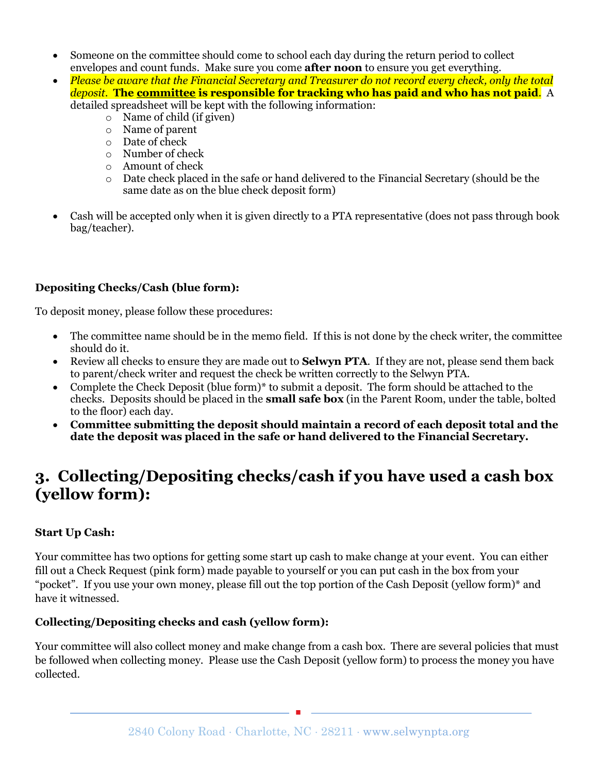- Someone on the committee should come to school each day during the return period to collect envelopes and count funds. Make sure you come **after noon** to ensure you get everything.
- *Please be aware that the Financial Secretary and Treasurer do not record every check, only the total deposit*. **The committee is responsible for tracking who has paid and who has not paid**. A detailed spreadsheet will be kept with the following information:
	- o Name of child (if given)
	- o Name of parent
	- o Date of check
	- o Number of check
	- o Amount of check
	- o Date check placed in the safe or hand delivered to the Financial Secretary (should be the same date as on the blue check deposit form)
- Cash will be accepted only when it is given directly to a PTA representative (does not pass through book bag/teacher).

### **Depositing Checks/Cash (blue form):**

To deposit money, please follow these procedures:

- The committee name should be in the memo field. If this is not done by the check writer, the committee should do it.
- Review all checks to ensure they are made out to **Selwyn PTA**. If they are not, please send them back to parent/check writer and request the check be written correctly to the Selwyn PTA.
- Complete the Check Deposit (blue form)<sup>\*</sup> to submit a deposit. The form should be attached to the checks. Deposits should be placed in the **small safe box** (in the Parent Room, under the table, bolted to the floor) each day.
- **Committee submitting the deposit should maintain a record of each deposit total and the date the deposit was placed in the safe or hand delivered to the Financial Secretary.**

## **3. Collecting/Depositing checks/cash if you have used a cash box (yellow form):**

#### **Start Up Cash:**

Your committee has two options for getting some start up cash to make change at your event. You can either fill out a Check Request (pink form) made payable to yourself or you can put cash in the box from your "pocket". If you use your own money, please fill out the top portion of the Cash Deposit (yellow form)\* and have it witnessed.

#### **Collecting/Depositing checks and cash (yellow form):**

Your committee will also collect money and make change from a cash box. There are several policies that must be followed when collecting money. Please use the Cash Deposit (yellow form) to process the money you have collected.